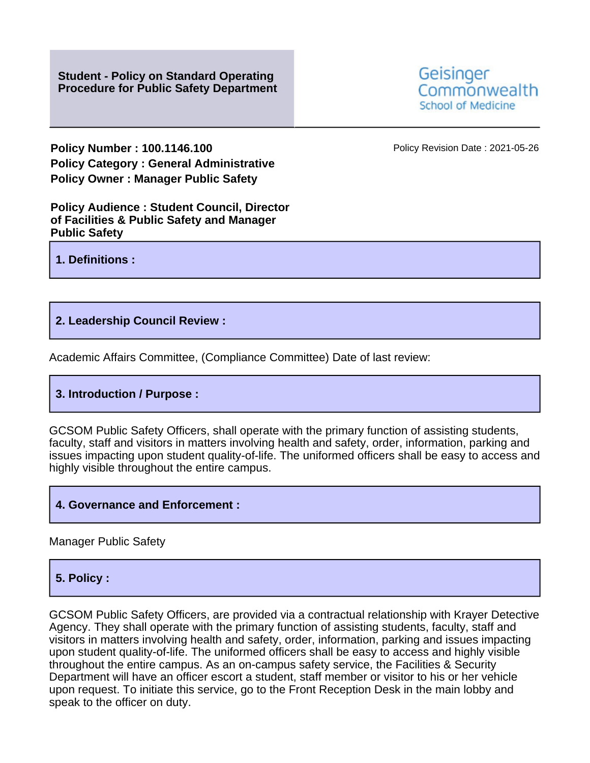**Policy Number : 100.1146.100 Policy Revision Date : 2021-05-26 Policy Category : General Administrative Policy Owner : Manager Public Safety**

**Policy Audience : Student Council, Director of Facilities & Public Safety and Manager Public Safety**

**1. Definitions :**

### **2. Leadership Council Review :**

Academic Affairs Committee, (Compliance Committee) Date of last review:

## **3. Introduction / Purpose :**

GCSOM Public Safety Officers, shall operate with the primary function of assisting students, faculty, staff and visitors in matters involving health and safety, order, information, parking and issues impacting upon student quality-of-life. The uniformed officers shall be easy to access and highly visible throughout the entire campus.

### **4. Governance and Enforcement :**

Manager Public Safety

### **5. Policy :**

GCSOM Public Safety Officers, are provided via a contractual relationship with Krayer Detective Agency. They shall operate with the primary function of assisting students, faculty, staff and visitors in matters involving health and safety, order, information, parking and issues impacting upon student quality-of-life. The uniformed officers shall be easy to access and highly visible throughout the entire campus. As an on-campus safety service, the Facilities & Security Department will have an officer escort a student, staff member or visitor to his or her vehicle upon request. To initiate this service, go to the Front Reception Desk in the main lobby and speak to the officer on duty.